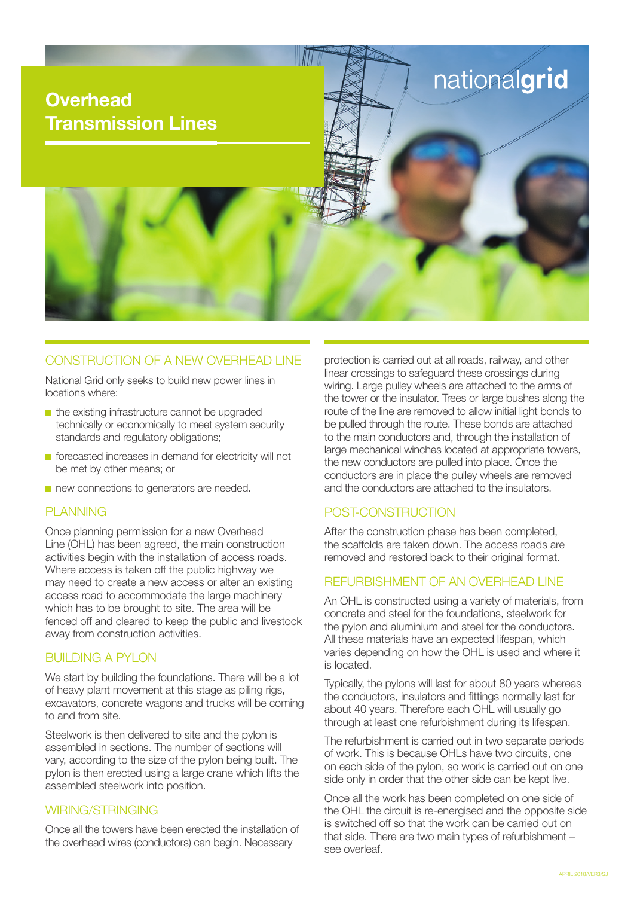

## CONSTRUCTION OF A NEW OVERHEAD LINE

National Grid only seeks to build new power lines in locations where:

- $\blacksquare$  the existing infrastructure cannot be upgraded technically or economically to meet system security standards and regulatory obligations;
- **F** forecasted increases in demand for electricity will not be met by other means; or
- new connections to generators are needed.

#### PI ANNING

Once planning permission for a new Overhead Line (OHL) has been agreed, the main construction activities begin with the installation of access roads. Where access is taken off the public highway we may need to create a new access or alter an existing access road to accommodate the large machinery which has to be brought to site. The area will be fenced off and cleared to keep the public and livestock away from construction activities.

### BUILDING A PYLON

We start by building the foundations. There will be a lot of heavy plant movement at this stage as piling rigs, excavators, concrete wagons and trucks will be coming to and from site.

Steelwork is then delivered to site and the pylon is assembled in sections. The number of sections will vary, according to the size of the pylon being built. The pylon is then erected using a large crane which lifts the assembled steelwork into position.

#### WIRING/STRINGING

Once all the towers have been erected the installation of the overhead wires (conductors) can begin. Necessary

protection is carried out at all roads, railway, and other linear crossings to safeguard these crossings during wiring. Large pulley wheels are attached to the arms of the tower or the insulator. Trees or large bushes along the route of the line are removed to allow initial light bonds to be pulled through the route. These bonds are attached to the main conductors and, through the installation of large mechanical winches located at appropriate towers, the new conductors are pulled into place. Once the conductors are in place the pulley wheels are removed and the conductors are attached to the insulators.

# POST-CONSTRUCTION

After the construction phase has been completed, the scaffolds are taken down. The access roads are removed and restored back to their original format.

### REFURBISHMENT OF AN OVERHEAD LINE

An OHL is constructed using a variety of materials, from concrete and steel for the foundations, steelwork for the pylon and aluminium and steel for the conductors. All these materials have an expected lifespan, which varies depending on how the OHL is used and where it is located.

Typically, the pylons will last for about 80 years whereas the conductors, insulators and fittings normally last for about 40 years. Therefore each OHL will usually go through at least one refurbishment during its lifespan.

The refurbishment is carried out in two separate periods of work. This is because OHLs have two circuits, one on each side of the pylon, so work is carried out on one side only in order that the other side can be kept live.

Once all the work has been completed on one side of the OHL the circuit is re-energised and the opposite side is switched off so that the work can be carried out on that side. There are two main types of refurbishment – see overleaf.